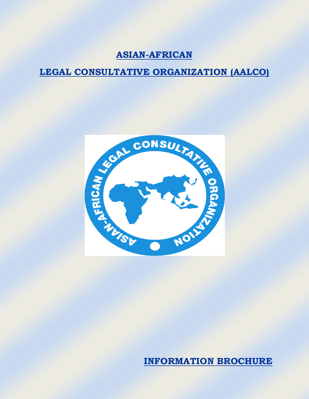# **ASIAN-AFRICAN**

# **LEGAL CONSULTATIVE ORGANIZATION (AALCO)**



**INFORMATION BROCHURE**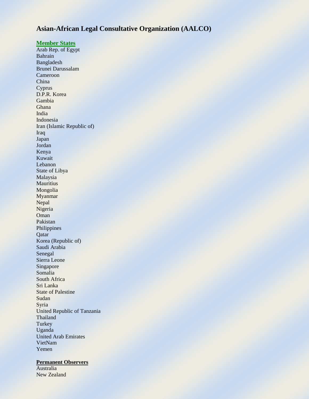# **Asian-African Legal Consultative Organization (AALCO)**

# **Member States**

Arab Rep. of Egypt Bahrain Bangladesh Brunei Darussalam Cameroon China Cyprus D.P.R. Korea Gambia Ghana India Indonesia Iran (Islamic Republic of) Iraq Japan Jordan Kenya Kuwait Lebanon State of Libya Malaysia **Mauritius** Mongolia Myanmar Nepal Nigeria Oman Pakistan Philippines Qatar Korea (Republic of) Saudi Arabia Senegal Sierra Leone Singapore Somalia South Africa Sri Lanka State of Palestine Sudan Syria United Republic of Tanzania Thailand Turkey Uganda United Arab Emirates VietNam Yemen

### **Permanent Observers**

Australia New Zealand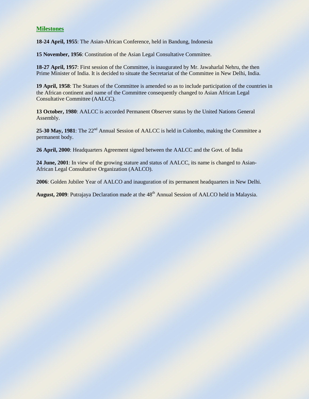# **Milestones**

**18-24 April, 1955**: The Asian-African Conference, held in Bandung, Indonesia

**15 November, 1956**: Constitution of the Asian Legal Consultative Committee.

**18-27 April, 1957**: First session of the Committee, is inaugurated by Mr. Jawaharlal Nehru, the then Prime Minister of India. It is decided to situate the Secretariat of the Committee in New Delhi, India.

**19 April, 1958**: The Statues of the Committee is amended so as to include participation of the countries in the African continent and name of the Committee consequently changed to Asian African Legal Consultative Committee (AALCC).

**13 October, 1980**: AALCC is accorded Permanent Observer status by the United Nations General Assembly.

25-30 May, 1981: The 22<sup>nd</sup> Annual Session of AALCC is held in Colombo, making the Committee a permanent body.

**26 April, 2000**: Headquarters Agreement signed between the AALCC and the Govt. of India

**24 June, 2001**: In view of the growing stature and status of AALCC, its name is changed to Asian-African Legal Consultative Organization (AALCO).

**2006**: Golden Jubilee Year of AALCO and inauguration of its permanent headquarters in New Delhi.

August, 2009: Putrajaya Declaration made at the 48<sup>th</sup> Annual Session of AALCO held in Malaysia.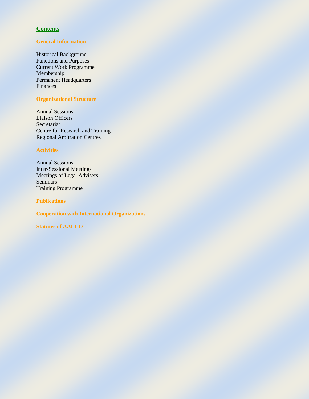# **Contents**

# **General Information**

Historical Background Functions and Purposes Current Work Programme Membership Permanent Headquarters Finances

# **Organizational Structure**

Annual Sessions Liaison Officers Secretariat Centre for Research and Training Regional Arbitration Centres

# **Activities**

Annual Sessions Inter-Sessional Meetings Meetings of Legal Advisers Seminars Training Programme

**Publications**

**Cooperation with International Organizations**

**Statutes of AALCO**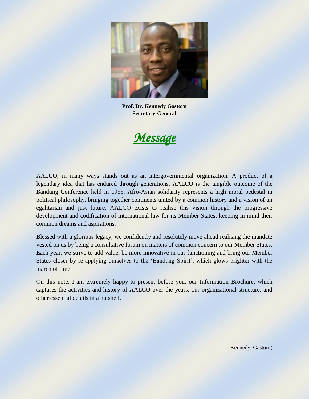

**Prof. Dr. Kennedy Gastorn Secretary-General**



AALCO, in many ways stands out as an intergovernmental organization. A product of a legendary idea that has endured through generations, AALCO is the tangible outcome of the Bandung Conference held in 1955. Afro-Asian solidarity represents a high moral pedestal in political philosophy, bringing together continents united by a common history and a vision of an egalitarian and just future. AALCO exists to realise this vision through the progressive development and codification of international law for its Member States, keeping in mind their common dreams and aspirations.

Blessed with a glorious legacy, we confidently and resolutely move ahead realising the mandate vested on us by being a consultative forum on matters of common concern to our Member States. Each year, we strive to add value, be more innovative in our functioning and bring our Member States closer by re-applying ourselves to the 'Bandung Spirit', which glows brighter with the march of time.

On this note, I am extremely happy to present before you, our Information Brochure, which captures the activities and history of AALCO over the years, our organizational structure, and other essential details in a nutshell.

(Kennedy Gastorn)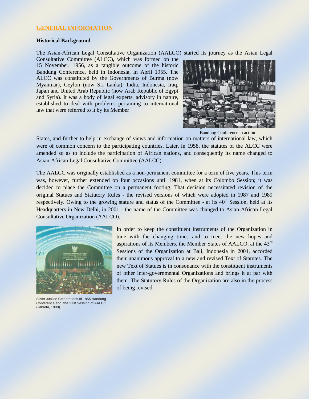# **GENERAL INFORMATION**

### **Historical Background**

The Asian-African Legal Consultative Organization (AALCO) started its journey as the Asian Legal

Consultative Committee (ALCC), which was formed on the 15 November, 1956, as a tangible outcome of the historic Bandung Conference, held in Indonesia, in April 1955. The ALCC was constituted by the Governments of Burma (now Myanmar), Ceylon (now Sri Lanka), India, Indonesia, Iraq, Japan and United Arab Republic (now Arab Republic of Egypt and Syria). It was a body of legal experts, advisory in nature, established to deal with problems pertaining to international law that were referred to it by its Member



Bandung Conference in action

States, and further to help in exchange of views and information on matters of international law, which were of common concern to the participating countries. Later, in 1958, the statutes of the ALCC were amended so as to include the participation of African nations, and consequently its name changed to Asian-African Legal Consultative Committee (AALCC).

The AALCC was originally established as a non-permanent committee for a term of five years. This term was, however, further extended on four occasions until 1981, when at its Colombo Session; it was decided to place the Committee on a permanent footing. That decision necessitated revision of the original Statues and Statutory Rules - the revised versions of which were adopted in 1987 and 1989 respectively. Owing to the growing stature and status of the Committee - at its  $40<sup>th</sup>$  Session, held at its Headquarters in New Delhi, in 2001 - the name of the Committee was changed to Asian-African Legal Consultative Organization (AALCO).



Silver Jubilee Celebrations of 1955 Bandung Conference and the 21st Session of AALCO (Jakarta, 1980)

In order to keep the constituent instruments of the Organization in tune with the changing times and to meet the new hopes and aspirations of its Members, the Member States of AALCO, at the 43rd Sessions of the Organization at Bali, Indonesia in 2004, accorded their unanimous approval to a new and revised Text of Statutes. The new Text of Statues is in consonance with the constituent instruments of other inter-governmental Organizations and brings it at par with them. The Statutory Rules of the Organization are also in the process of being revised.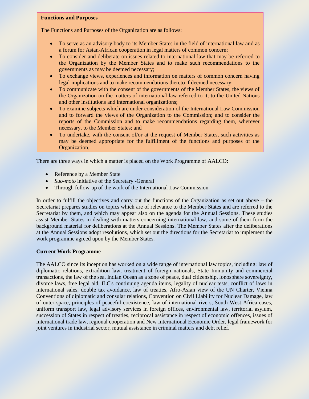### **Functions and Purposes**

The Functions and Purposes of the Organization are as follows:

- To serve as an advisory body to its Member States in the field of international law and as a forum for Asian-African cooperation in legal matters of common concern;
- To consider and deliberate on issues related to international law that may be referred to the Organization by the Member States and to make such recommendations to the governments as may be deemed necessary;
- To exchange views, experiences and information on matters of common concern having legal implications and to make recommendations thereto if deemed necessary;
- To communicate with the consent of the governments of the Member States, the views of the Organization on the matters of international law referred to it; to the United Nations and other institutions and international organizations;
- To examine subjects which are under consideration of the International Law Commission and to forward the views of the Organization to the Commission; and to consider the reports of the Commission and to make recommendations regarding them, wherever necessary, to the Member States; and
- To undertake, with the consent of/or at the request of Member States, such activities as may be deemed appropriate for the fulfillment of the functions and purposes of the Organization.

There are three ways in which a matter is placed on the Work Programme of AALCO:

- Reference by a Member State
- *Suo-moto* initiative of the Secretary -General
- Through follow-up of the work of the International Law Commission

In order to fulfill the objectives and carry out the functions of the Organization as set out above – the Secretariat prepares studies on topics which are of relevance to the Member States and are referred to the Secretariat by them, and which may appear also on the agenda for the Annual Sessions. These studies assist Member States in dealing with matters concerning international law, and some of them form the background material for deliberations at the Annual Sessions. The Member States after the deliberations at the Annual Sessions adopt resolutions, which set out the directions for the Secretariat to implement the work programme agreed upon by the Member States.

### **Current Work Programme**

The AALCO since its inception has worked on a wide range of international law topics, including: law of diplomatic relations, extradition law, treatment of foreign nationals, State Immunity and commercial transactions, the law of the sea, Indian Ocean as a zone of peace, dual citizenship, ionosphere sovereignty, divorce laws, free legal aid, ILC's continuing agenda items, legality of nuclear tests, conflict of laws in international sales, double tax avoidance, law of treaties, Afro-Asian view of the UN Charter, Vienna Conventions of diplomatic and consular relations, Convention on Civil Liability for Nuclear Damage, law of outer space, principles of peaceful coexistence, law of international rivers, South West Africa cases, uniform transport law, legal advisory services in foreign offices, environmental law, territorial asylum, succession of States in respect of treaties, reciprocal assistance in respect of economic offences, issues of international trade law, regional cooperation and New International Economic Order, legal framework for joint ventures in industrial sector, mutual assistance in criminal matters and debt relief.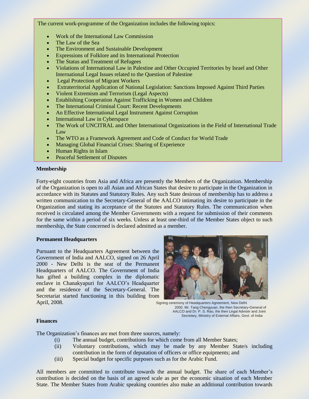The current work-programme of the Organization includes the following topics:

- Work of the International Law Commission
- The Law of the Sea
- The Environment and Sustainable Development
- Expressions of Folklore and its International Protection
- The Status and Treatment of Refugees
- Violations of International Law in Palestine and Other Occupied Territories by Israel and Other International Legal Issues related to the Question of Palestine
- Legal Protection of Migrant Workers
- Extraterritorial Application of National Legislation: Sanctions Imposed Against Third Parties
- Violent Extremism and Terrorism (Legal Aspects)
- Establishing Cooperation Against Trafficking in Women and Children
- The International Criminal Court: Recent Developments
- An Effective International Legal Instrument Against Corruption
- International Law in Cyberspace
- The Work of UNCITRAL and Other International Organizations in the Field of International Trade Law
- The WTO as a Framework Agreement and Code of Conduct for World Trade
- Managing Global Financial Crises: Sharing of Experience
- Human Rights in Islam
- Peaceful Settlement of Disputes

### **Membership**

Forty-eight countries from Asia and Africa are presently the Members of the Organization. Membership of the Organization is open to all Asian and African States that desire to participate in the Organization in accordance with its Statutes and Statutory Rules. Any such State desirous of membership has to address a written communication to the Secretary-General of the AALCO intimating its desire to participate in the Organization and stating its acceptance of the Statutes and Statutory Rules. The communication when received is circulated among the Member Governments with a request for submission of their comments for the same within a period of six weeks. Unless at least one-third of the Member States object to such membership, the State concerned is declared admitted as a member.

### **Permanent Headquarters**

Pursuant to the Headquarters Agreement between the Government of India and AALCO, signed on 26 April 2000 - New Delhi is the seat of the Permanent Headquarters of AALCO. The Government of India has gifted a building complex in the diplomatic enclave in Chanakyapuri for AALCO's Headquarter and the residence of the Secretary-General. The Secretariat started functioning in this building from April, 2008. All the state of the Signing ceremony of Headquarters Agreement, New Delhi



 2000. Mr. Tang Chengyuan, the then Secretary-General of AALCO and Dr. P. S. Rao, the then Legal Adviser and Joint Secretary, Ministry of External Affairs, Govt. of India

### **Finances**

The Organization's finances are met from three sources, namely:

- (i) The annual budget, contributions for which come from all Member States;
- (ii) Voluntary contributions, which may be made by any Member State/s including contribution in the form of deputation of officers or office equipments; and
- (iii) Special budget for specific purposes such as for the Arabic Fund.

All members are committed to contribute towards the annual budget. The share of each Member's contribution is decided on the basis of an agreed scale as per the economic situation of each Member State. The Member States from Arabic speaking countries also make an additional contribution towards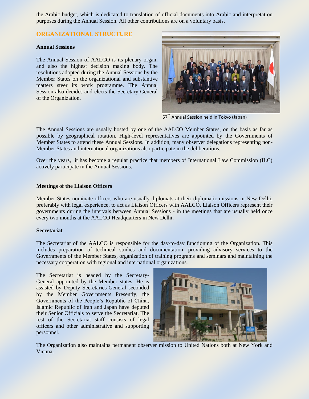the Arabic budget, which is dedicated to translation of official documents into Arabic and interpretation purposes during the Annual Session. All other contributions are on a voluntary basis.

# **ORGANIZATIONAL STRUCTURE**

# **Annual Sessions**

The Annual Session of AALCO is its plenary organ, and also the highest decision making body. The resolutions adopted during the Annual Sessions by the Member States on the organizational and substantive matters steer its work programme. The Annual Session also decides and elects the Secretary-General of the Organization.



57<sup>th</sup> Annual Session held in Tokyo (Japan)

The Annual Sessions are usually hosted by one of the AALCO Member States, on the basis as far as possible by geographical rotation. High-level representatives are appointed by the Governments of Member States to attend these Annual Sessions. In addition, many observer delegations representing non-Member States and international organizations also participate in the deliberations.

Over the years, it has become a regular practice that members of International Law Commission (ILC) actively participate in the Annual Sessions.

### **Meetings of the Liaison Officers**

Member States nominate officers who are usually diplomats at their diplomatic missions in New Delhi, preferably with legal experience, to act as Liaison Officers with AALCO. Liaison Officers represent their governments during the intervals between Annual Sessions - in the meetings that are usually held once every two months at the AALCO Headquarters in New Delhi.

## **Secretariat**

The Secretariat of the AALCO is responsible for the day-to-day functioning of the Organization. This includes preparation of technical studies and documentation, providing advisory services to the Governments of the Member States, organization of training programs and seminars and maintaining the necessary cooperation with regional and international organizations.

The Secretariat is headed by the Secretary-General appointed by the Member states. He is assisted by Deputy Secretaries-General seconded by the Member Governments. Presently, the Governments of the People's Republic of China, Islamic Republic of Iran and Japan have deputed their Senior Officials to serve the Secretariat. The rest of the Secretariat staff consists of legal officers and other administrative and supporting personnel.



The Organization also maintains permanent observer mission to United Nations both at New York and Vienna.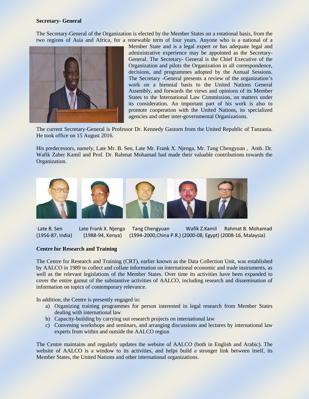### **Secretary- General**

The Secretary-General of the Organization is elected by the Member States on a rotational basis, from the two regions of Asia and Africa, for a renewable term of four years. Anyone who is a national of a



Member State and is a legal expert or has adequate legal and administrative experience may be appointed as the Secretary-General. The Secretary- General is the Chief Executive of the Organization and pilots the Organization in all correspondence, decisions, and programmes adopted by the Annual Sessions. The Secretary -General presents a review of the organization's work on a biennial basis to the United Nations General Assembly, and forwards the views and opinions of its Member States to the International Law Commission, on matters under its consideration. An important part of his work is also to promote cooperation with the United Nations, its specialized agencies and other inter-governmental Organizations.

The current Secretary-General is Professor Dr. Kennedy Gastorn from the United Republic of Tanzania. He took office on 15 August 2016.

His predecessors, namely, Late Mr. B. Sen, Late Mr. Frank X. Njenga, Mr. Tang Chengyuan , Amb. Dr. Wafik Zaher Kamil and Prof. Dr. Rahmat Mohamad had made their valuable contributions towards the Organization.



Late B. Sen Late Frank X. Njenga Tang Chengyuan Wafik Z.Kamil Rahmat B. Mohamad (1956-87, India) (1988-94, Kenya) (1994-2000,China P.R.) (2000-08, Egypt) (2008-16, Malaysia)

## **Centre for Research and Training**

The Centre for Research and Training (CRT), earlier known as the Data Collection Unit, was established by AALCO in 1989 to collect and collate information on international economic and trade instruments, as well as the relevant legislations of the Member States. Over time its activities have been expanded to cover the entire gamut of the substantive activities of AALCO, including research and dissemination of information on topics of contemporary relevance.

In addition, the Centre is presently engaged in:

- a) Organizing training programmes for person interested in legal research from Member States dealing with international law
- b) Capacity-building by carrying out research projects on international law
- c) Convening workshops and seminars, and arranging discussions and lectures by international law experts from within and outside the AALCO region

The Centre maintains and regularly updates the website of AALCO (both in English and Arabic). The website of AALCO is a window to its activities, and helps build a stronger link between itself, its Member States, the United Nations and other international organizations.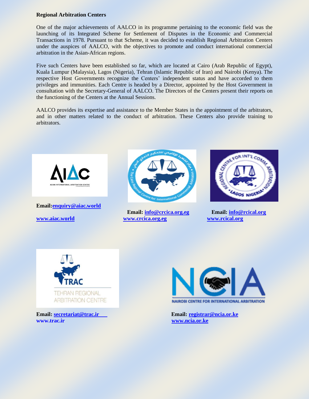## **Regional Arbitration Centers**

One of the major achievements of AALCO in its programme pertaining to the economic field was the launching of its Integrated Scheme for Settlement of Disputes in the Economic and Commercial Transactions in 1978. Pursuant to that Scheme, it was decided to establish Regional Arbitration Centers under the auspices of AALCO, with the objectives to promote and conduct international commercial arbitration in the Asian-African regions.

Five such Centers have been established so far, which are located at Cairo (Arab Republic of Egypt), Kuala Lumpur (Malaysia), Lagos (Nigeria), Tehran (Islamic Republic of Iran) and Nairobi (Kenya). The respective Host Governments recognize the Centers' independent status and have accorded to them privileges and immunities. Each Centre is headed by a Director, appointed by the Host Government in consultation with the Secretary-General of AALCO. The Directors of the Centers present their reports on the functioning of the Centers at the Annual Sessions.

AALCO provides its expertise and assistance to the Member States in the appointment of the arbitrators, and in other matters related to the conduct of arbitration. These Centers also provide training to arbitrators.



**Email[:enquiry@aiac.world](mailto:enquiry@aiac.world)** 



**Email: [info@crcica.org.eg](mailto:info@crcica.org.eg) Email: [info@rcical.org](mailto:info@rcical.org) [www.aiac.world](http://www.aiac.world/) [www.crcica.org.eg](http://www.crcica.org.eg/) [www.rcical.org](http://www.rcical.org/)**





**[www.trac.ir](http://www.trac.ir/) [www.ncia.or.ke](http://www.ncia.or.ke/)**



**Email: [secretariat@trac.ir](mailto:secretariat@trac.ir) Email: [registrar@ncia.or.ke](mailto:registrar@ncia.or.ke)**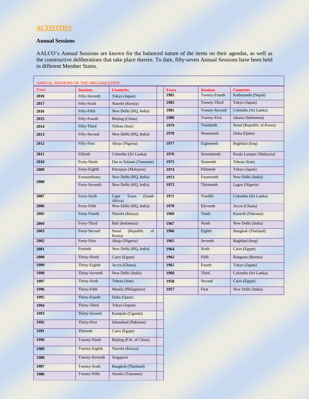# **ACTIVITIES**

# **Annual Sessions**

L

AALCO's Annual Sessions are known for the balanced nature of the items on their agendas, as well as the constructive deliberations that take place therein. To date, fifty-seven Annual Sessions have been held in different Member States.

| ANNUAL SESSIONS OF THE ORGANIZATION |                 |                                    |  |              |                 |                           |
|-------------------------------------|-----------------|------------------------------------|--|--------------|-----------------|---------------------------|
| Years                               | <b>Sessions</b> | <b>Countries</b>                   |  | <b>Years</b> | <b>Sessions</b> | <b>Countries</b>          |
| 2018                                | Fifty-Seventh   | Tokyo (Japan)                      |  | 1985         | Twenty-Fourth   | Kathmandu (Nepal)         |
| 2017                                | Fifty-Sixth     | Nairobi (Kenya)                    |  | 1983         | Twenty-Third    | Tokyo (Japan)             |
| 2016                                | Fifty-Fifth     | New Delhi (HQ, India)              |  | 1981         | Twenty-Second   | Colombo (Sri Lanka)       |
| 2015                                | Fifty-Fourth    | Beijing (China)                    |  | 1980         | Twenty-First    | Jakarta (Indonesia)       |
| 2014                                | Fifty-Third     | Tehran (Iran)                      |  | 1979         | Twentieth       | Seoul (Republic of Korea) |
| 2013                                | Fifty-Second    | New Delhi (HQ, India)              |  | 1978         | Nineteenth      | Doha (Qatar)              |
| 2012                                | Fifty-First     | Abuja (Nigeria)                    |  | 1977         | Eighteenth      | Baghdad (Iraq)            |
| 2011                                | Fiftieth        | Colombo (Sri Lanka)                |  | 1976         | Seventeenth     | Kuala Lumpur (Malaysia)   |
| 2010                                | Forty-Ninth     | Dar es Salaam (Tanzania)           |  | 1975         | Sixteenth       | Tehran (Iran)             |
| 2009                                | Forty-Eighth    | Putrajaya (Malaysia)               |  | 1974         | Fifteenth       | Tokyo (Japan)             |
| 2008                                | Extraordinary   | New Delhi (HQ, India)              |  | 1973         | Fourteenth      | New Delhi (India)         |
|                                     | Forty-Seventh   | New Delhi (HQ, India)              |  | 1972         | Thirteenth      | Lagos (Nigeria)           |
| 2007                                | Forty-Sixth     | Cape<br>Town<br>(South)<br>Africa) |  | 1971         | Twelfth         | Colombo (Sri Lanka)       |
| 2006                                | Forty-Fifth     | New Delhi (HQ, India)              |  | 1970         | Eleventh        | Accra (Ghana)             |
| 2005                                | Forty-Fourth    | Nairobi (Kenya)                    |  | 1969         | Tenth           | Karachi (Pakistan)        |
| 2004                                | Forty-Third     | Bali (Indonesia)                   |  | 1967         | Ninth           | New Delhi (India)         |
| 2003                                | Forty-Second    | Seoul<br>(Republic<br>of<br>Korea) |  | 1966         | Eighth          | Bangkok (Thailand)        |
| 2002                                | Forty-First     | Abuja (Nigeria)                    |  | 1965         | Seventh         | Baghdad (Iraq)            |
| 2001                                | Fortieth        | New Delhi (HQ, India)              |  | 1964         | Sixth           | Cairo (Egypt)             |
| 2000                                | Thirty-Ninth    | Cairo (Egypt)                      |  | 1962         | Fifth           | Rangoon (Burma)           |
| 1999                                | Thirty-Eighth   | Accra (Ghana)                      |  | 1961         | Fourth          | Tokyo (Japan)             |
| 1998                                | Thirty-Seventh  | New Delhi (India)                  |  | 1960         | Third           | Colombo (Sri Lanka)       |
| 1997                                | Thirty-Sixth    | Tehran (Iran)                      |  | 1958         | Second          | Cairo (Egypt)             |
| 1996                                | Thirty-Fifth    | Manila (Philippines)               |  | 1957         | First           | New Delhi (India)         |
| 1995                                | Thirty-Fourth   | Doha (Qatar)                       |  |              |                 |                           |
| 1994                                | Thirty-Third    | Tokyo (Japan)                      |  |              |                 |                           |
| 1993                                | Thirty-Second   | Kampala (Uganda)                   |  |              |                 |                           |
| 1992                                | Thirty-First    | Islamabad (Pakistan)               |  |              |                 |                           |
| 1991                                | Thirtieth       | Cairo (Egypt)                      |  |              |                 |                           |
| 1990                                | Twenty-Ninth    | Beijing (P.R. of China)            |  |              |                 |                           |
| 1989                                | Twenty-Eighth   | Nairobi (Kenya)                    |  |              |                 |                           |
| 1988                                | Twenty-Seventh  | Singapore                          |  |              |                 |                           |
| 1987                                | Twenty-Sixth    | <b>Bangkok</b> (Thailand)          |  |              |                 |                           |
| 1986                                | Twenty-Fifth    | Arusha (Tanzania)                  |  |              |                 |                           |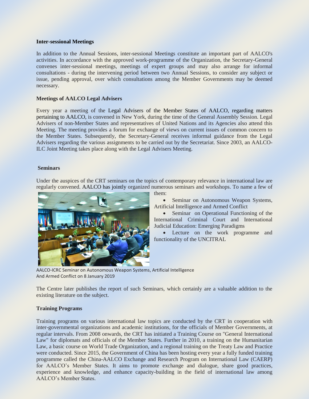## **Inter-sessional Meetings**

In addition to the Annual Sessions, inter-sessional Meetings constitute an important part of AALCO's activities. In accordance with the approved work-programme of the Organization, the Secretary-General convenes inter-sessional meetings, meetings of expert groups and may also arrange for informal consultations - during the intervening period between two Annual Sessions, to consider any subject or issue, pending approval, over which consultations among the Member Governments may be deemed necessary.

# **Meetings of AALCO Legal Advisers**

Every year a meeting of the Legal Advisers of the Member States of AALCO, regarding matters pertaining to AALCO, is convened in New York, during the time of the General Assembly Session. Legal Advisers of non-Member States and representatives of United Nations and its Agencies also attend this Meeting. The meeting provides a forum for exchange of views on current issues of common concern to the Member States. Subsequently, the Secretary-General receives informal guidance from the Legal Advisers regarding the various assignments to be carried out by the Secretariat. Since 2003, an AALCO-ILC Joint Meeting takes place along with the Legal Advisers Meeting.

# **Seminars**

Under the auspices of the CRT seminars on the topics of contemporary relevance in international law are regularly convened. AALCO has jointly organized numerous seminars and workshops. To name a few of



them:

 Seminar on Autonomous Weapon Systems, Artificial Intelligence and Armed Conflict

 Seminar on Operational Functioning of the International Criminal Court and International Judicial Education: Emerging Paradigms

 Lecture on the work programme and functionality of the UNCITRAL

AALCO-ICRC Seminar on Autonomous Weapon Systems, Artificial Intelligence And Armed Conflict on 8 January 2019

The Centre later publishes the report of such Seminars, which certainly are a valuable addition to the existing literature on the subject.

# **Training Programs**

Training programs on various international law topics are conducted by the CRT in cooperation with inter-governmental organizations and academic institutions, for the officials of Member Governments, at regular intervals. From 2008 onwards, the CRT has initiated a Training Course on "General International Law" for diplomats and officials of the Member States. Further in 2010, a training on the Humanitarian Law, a basic course on World Trade Organization, and a regional training on the Treaty Law and Practice were conducted. Since 2015, the Government of China has been hosting every year a fully funded training programme called the China-AALCO Exchange and Research Program on International Law (CAERP) for AALCO's Member States. It aims to promote exchange and dialogue, share good practices, experience and knowledge, and enhance capacity-building in the field of international law among AALCO's Member States.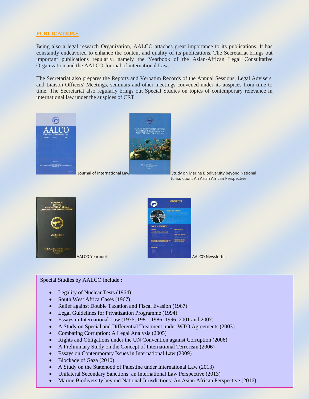# **PUBLICATIONS**

Being also a legal research Organization, AALCO attaches great importance to its publications. It has constantly endeavored to enhance the content and quality of its publications. The Secretariat brings out important publications regularly, namely the Yearbook of the Asian-African Legal Consultative Organization and the AALCO Journal of international Law.

The Secretariat also prepares the Reports and Verbatim Records of the Annual Sessions, Legal Advisers' and Liaison Officers' Meetings, seminars and other meetings convened under its auspices from time to time. The Secretariat also regularly brings out Special Studies on topics of contemporary relevance in international law under the auspices of CRT*.*



Jurisdiction: An Asian African Perspective





## Special Studies by AALCO include :

- Legality of Nuclear Tests (1964)
- South West Africa Cases (1967)
- Relief against Double Taxation and Fiscal Evasion (1967)
- Legal Guidelines for Privatization Programme (1994)
- Essays in International Law (1976, 1981, 1986, 1996, 2001 and 2007)
- A Study on Special and Differential Treatment under WTO Agreements (2003)
- Combating Corruption: A Legal Analysis (2005)
- Rights and Obligations under the UN Convention against Corruption (2006)
- A Preliminary Study on the Concept of International Terrorism (2006)
- Essays on Contemporary Issues in International Law (2009)
- Blockade of Gaza (2010)
- A Study on the Statehood of Palestine under International Law (2013)
- Unilateral Secondary Sanctions: an International Law Perspective (2013)
- Marine Biodiversity beyond National Jurisdictions: An Asian African Perspective (2016)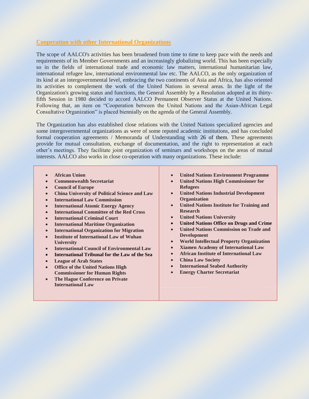# **Cooperation with other International Organizations**

The scope of AALCO's activities has been broadened from time to time to keep pace with the needs and requirements of its Member Governments and an increasingly globalizing world. This has been especially so in the fields of international trade and economic law matters, international humanitarian law, international refugee law, international environmental law etc. The AALCO, as the only organization of its kind at an intergovernmental level, embracing the two continents of Asia and Africa, has also oriented its activities to complement the work of the United Nations in several areas. In the light of the Organization's growing status and functions, the General Assembly by a Resolution adopted at its thirtyfifth Session in 1980 decided to accord AALCO Permanent Observer Status at the United Nations. Following that, an item on "Cooperation between the United Nations and the Asian-African Legal Consultative Organization" is placed biennially on the agenda of the General Assembly.

The Organization has also established close relations with the United Nations specialized agencies and some intergovernmental organizations as were of some reputed academic institutions, and has concluded formal cooperation agreements / Memoranda of Understanding with 26 of them. These agreements provide for mutual consultation, exchange of documentation, and the right to representation at each other's meetings. They facilitate joint organization of seminars and workshops on the areas of mutual interests. AALCO also works in close co-operation with many organizations. These include:

- **African Union**
- **Commonwealth Secretariat**
- **Council of Europe**
- **China University of Political Science and Law**
- **International Law Commission**
- **International Atomic Energy Agency**
- **International Committee of the Red Cross**
- **International Criminal Court**
- **International Maritime Organization**
- **International Organization for Migration**
- **Institute of International Law of Wuhan University**
- **International Council of Environmental Law**
- **International Tribunal for the Law of the Sea**
- **League of Arab States**
- **Office of the United Nations High Commissioner for Human Rights**
- **The Hague Conference on Private International Law**
- **United Nations Environment Programme**
- **United Nations High Commissioner for Refugees**
- **United Nations Industrial Development Organization**
- **United Nations Institute for Training and Research**
- **United Nations University**
- **United Nations Office on Drugs and Crime**
- **United Nations Commission on Trade and Development**
- **World Intellectual Property Organization**
- **Xiamen Academy of International Law**
- **African Institute of International Law**
- **China Law Society**
- **International Seabed Authority**
- **Energy Charter Secretariat**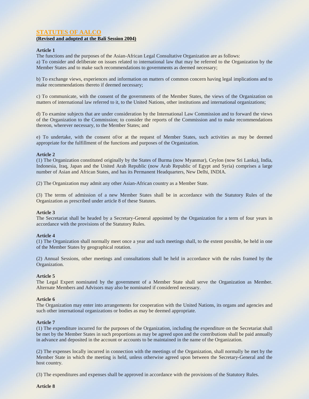# **STATUTES OF AALCO**

# **(Revised and adopted at the Bali Session 2004)**

### **Article 1**

The functions and the purposes of the Asian-African Legal Consultative Organization are as follows:

a) To consider and deliberate on issues related to international law that may be referred to the Organization by the Member States and to make such recommendations to governments as deemed necessary;

b) To exchange views, experiences and information on matters of common concern having legal implications and to make recommendations thereto if deemed necessary;

c) To communicate, with the consent of the governments of the Member States, the views of the Organization on matters of international law referred to it, to the United Nations, other institutions and international organizations;

d) To examine subjects that are under consideration by the International Law Commission and to forward the views of the Organization to the Commission; to consider the reports of the Commission and to make recommendations thereon, wherever necessary, to the Member States; and

e) To undertake, with the consent of/or at the request of Member States, such activities as may be deemed appropriate for the fulfillment of the functions and purposes of the Organization.

### **Article 2**

(1) The Organization constituted originally by the States of Burma (now Myanmar), Ceylon (now Sri Lanka), India, Indonesia, Iraq, Japan and the United Arab Republic (now Arab Republic of Egypt and Syria) comprises a large number of Asian and African States, and has its Permanent Headquarters, New Delhi, INDIA.

(2) The Organization may admit any other Asian-African country as a Member State.

(3) The terms of admission of a new Member States shall be in accordance with the Statutory Rules of the Organization as prescribed under article 8 of these Statutes.

#### **Article 3**

The Secretariat shall be headed by a Secretary-General appointed by the Organization for a term of four years in accordance with the provisions of the Statutory Rules.

#### **Article 4**

(1) The Organization shall normally meet once a year and such meetings shall, to the extent possible, be held in one of the Member States by geographical rotation.

(2) Annual Sessions, other meetings and consultations shall be held in accordance with the rules framed by the Organization.

#### **Article 5**

The Legal Expert nominated by the government of a Member State shall serve the Organization as Member. Alternate Members and Advisors may also be nominated if considered necessary.

#### **Article 6**

The Organization may enter into arrangements for cooperation with the United Nations, its organs and agencies and such other international organizations or bodies as may be deemed appropriate.

### **Article 7**

(1) The expenditure incurred for the purposes of the Organization, including the expenditure on the Secretariat shall be met by the Member States in such proportions as may be agreed upon and the contributions shall be paid annually in advance and deposited in the account or accounts to be maintained in the name of the Organization.

(2) The expenses locally incurred in connection with the meetings of the Organization, shall normally be met by the Member State in which the meeting is held, unless otherwise agreed upon between the Secretary-General and the host country.

(3) The expenditures and expenses shall be approved in accordance with the provisions of the Statutory Rules.

**Article 8**